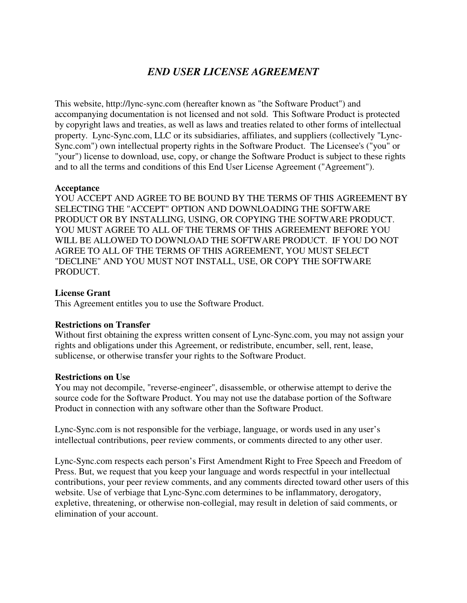# *END USER LICENSE AGREEMENT*

This website, http://lync-sync.com (hereafter known as "the Software Product") and accompanying documentation is not licensed and not sold. This Software Product is protected by copyright laws and treaties, as well as laws and treaties related to other forms of intellectual property. Lync-Sync.com, LLC or its subsidiaries, affiliates, and suppliers (collectively "Lync-Sync.com") own intellectual property rights in the Software Product. The Licensee's ("you" or "your") license to download, use, copy, or change the Software Product is subject to these rights and to all the terms and conditions of this End User License Agreement ("Agreement").

## **Acceptance**

YOU ACCEPT AND AGREE TO BE BOUND BY THE TERMS OF THIS AGREEMENT BY SELECTING THE "ACCEPT" OPTION AND DOWNLOADING THE SOFTWARE PRODUCT OR BY INSTALLING, USING, OR COPYING THE SOFTWARE PRODUCT. YOU MUST AGREE TO ALL OF THE TERMS OF THIS AGREEMENT BEFORE YOU WILL BE ALLOWED TO DOWNLOAD THE SOFTWARE PRODUCT. IF YOU DO NOT AGREE TO ALL OF THE TERMS OF THIS AGREEMENT, YOU MUST SELECT "DECLINE" AND YOU MUST NOT INSTALL, USE, OR COPY THE SOFTWARE PRODUCT.

#### **License Grant**

This Agreement entitles you to use the Software Product.

## **Restrictions on Transfer**

Without first obtaining the express written consent of Lync-Sync.com, you may not assign your rights and obligations under this Agreement, or redistribute, encumber, sell, rent, lease, sublicense, or otherwise transfer your rights to the Software Product.

#### **Restrictions on Use**

You may not decompile, "reverse-engineer", disassemble, or otherwise attempt to derive the source code for the Software Product. You may not use the database portion of the Software Product in connection with any software other than the Software Product.

Lync-Sync.com is not responsible for the verbiage, language, or words used in any user's intellectual contributions, peer review comments, or comments directed to any other user.

Lync-Sync.com respects each person's First Amendment Right to Free Speech and Freedom of Press. But, we request that you keep your language and words respectful in your intellectual contributions, your peer review comments, and any comments directed toward other users of this website. Use of verbiage that Lync-Sync.com determines to be inflammatory, derogatory, expletive, threatening, or otherwise non-collegial, may result in deletion of said comments, or elimination of your account.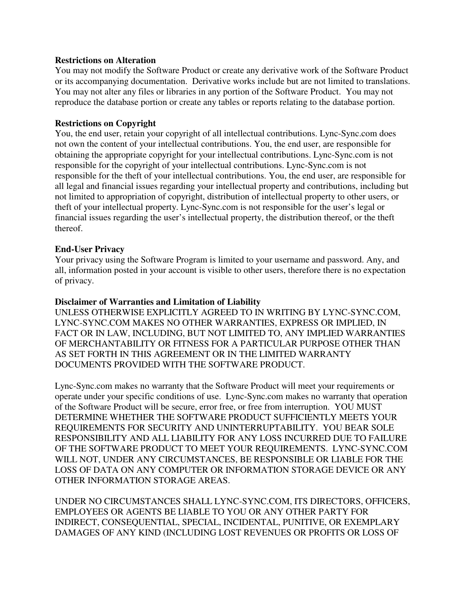#### **Restrictions on Alteration**

You may not modify the Software Product or create any derivative work of the Software Product or its accompanying documentation. Derivative works include but are not limited to translations. You may not alter any files or libraries in any portion of the Software Product. You may not reproduce the database portion or create any tables or reports relating to the database portion.

#### **Restrictions on Copyright**

You, the end user, retain your copyright of all intellectual contributions. Lync-Sync.com does not own the content of your intellectual contributions. You, the end user, are responsible for obtaining the appropriate copyright for your intellectual contributions. Lync-Sync.com is not responsible for the copyright of your intellectual contributions. Lync-Sync.com is not responsible for the theft of your intellectual contributions. You, the end user, are responsible for all legal and financial issues regarding your intellectual property and contributions, including but not limited to appropriation of copyright, distribution of intellectual property to other users, or theft of your intellectual property. Lync-Sync.com is not responsible for the user's legal or financial issues regarding the user's intellectual property, the distribution thereof, or the theft thereof.

#### **End-User Privacy**

Your privacy using the Software Program is limited to your username and password. Any, and all, information posted in your account is visible to other users, therefore there is no expectation of privacy.

#### **Disclaimer of Warranties and Limitation of Liability**

UNLESS OTHERWISE EXPLICITLY AGREED TO IN WRITING BY LYNC-SYNC.COM, LYNC-SYNC.COM MAKES NO OTHER WARRANTIES, EXPRESS OR IMPLIED, IN FACT OR IN LAW, INCLUDING, BUT NOT LIMITED TO, ANY IMPLIED WARRANTIES OF MERCHANTABILITY OR FITNESS FOR A PARTICULAR PURPOSE OTHER THAN AS SET FORTH IN THIS AGREEMENT OR IN THE LIMITED WARRANTY DOCUMENTS PROVIDED WITH THE SOFTWARE PRODUCT.

Lync-Sync.com makes no warranty that the Software Product will meet your requirements or operate under your specific conditions of use. Lync-Sync.com makes no warranty that operation of the Software Product will be secure, error free, or free from interruption. YOU MUST DETERMINE WHETHER THE SOFTWARE PRODUCT SUFFICIENTLY MEETS YOUR REQUIREMENTS FOR SECURITY AND UNINTERRUPTABILITY. YOU BEAR SOLE RESPONSIBILITY AND ALL LIABILITY FOR ANY LOSS INCURRED DUE TO FAILURE OF THE SOFTWARE PRODUCT TO MEET YOUR REQUIREMENTS. LYNC-SYNC.COM WILL NOT, UNDER ANY CIRCUMSTANCES, BE RESPONSIBLE OR LIABLE FOR THE LOSS OF DATA ON ANY COMPUTER OR INFORMATION STORAGE DEVICE OR ANY OTHER INFORMATION STORAGE AREAS.

UNDER NO CIRCUMSTANCES SHALL LYNC-SYNC.COM, ITS DIRECTORS, OFFICERS, EMPLOYEES OR AGENTS BE LIABLE TO YOU OR ANY OTHER PARTY FOR INDIRECT, CONSEQUENTIAL, SPECIAL, INCIDENTAL, PUNITIVE, OR EXEMPLARY DAMAGES OF ANY KIND (INCLUDING LOST REVENUES OR PROFITS OR LOSS OF